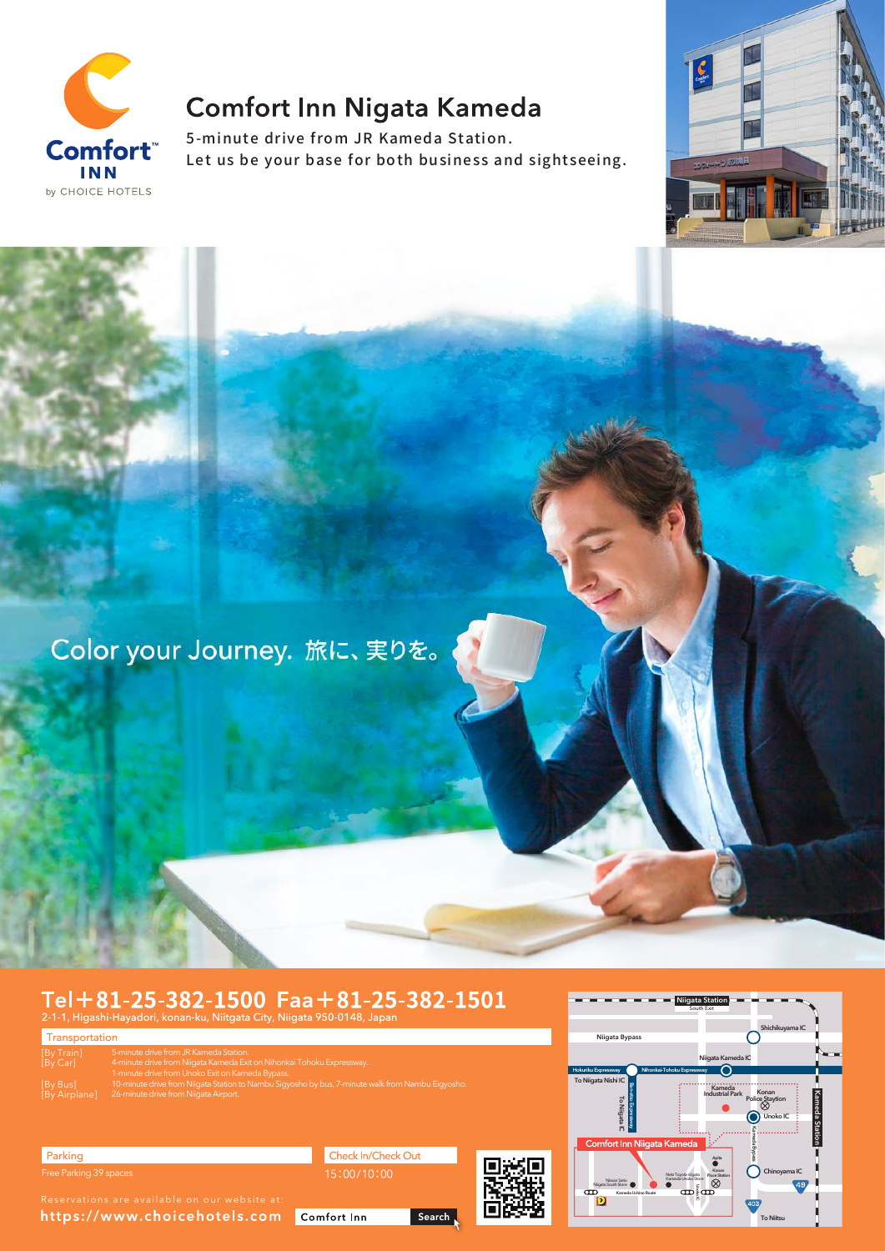

# **Comfort Inn Nigata Kameda**

5-minute drive from JR Kameda Station. Let us be your base for both business and sightseeing.



Color your Journey. 旅に、実りを。

# $Tel + 81 - 25 - 382 - 1500$   $Faa + 81 - 25 - 382 - 1501$ <br>2-1-1, Higashi-Hayadori, konan-ku, Niitgata City, Niigata 950-0148, Japan

Transportation [By Train] [By Car] 5-minute drive from JR Kameda Station.<br>4-minute drive from Niïgata Kameda Exit on Nihonkai Tohoku Expressway.<br>1-minute drive from Unoko Exit on Kameda Bypass.<br>10-minute drive from Niigata Station to Nambu Sigyosho by bus, [By Bus] [By Airplane]

Parking Free Parking 39 spaces

https://www.choicehotels.com

Check In/Check Out

Search

Comfort Inn